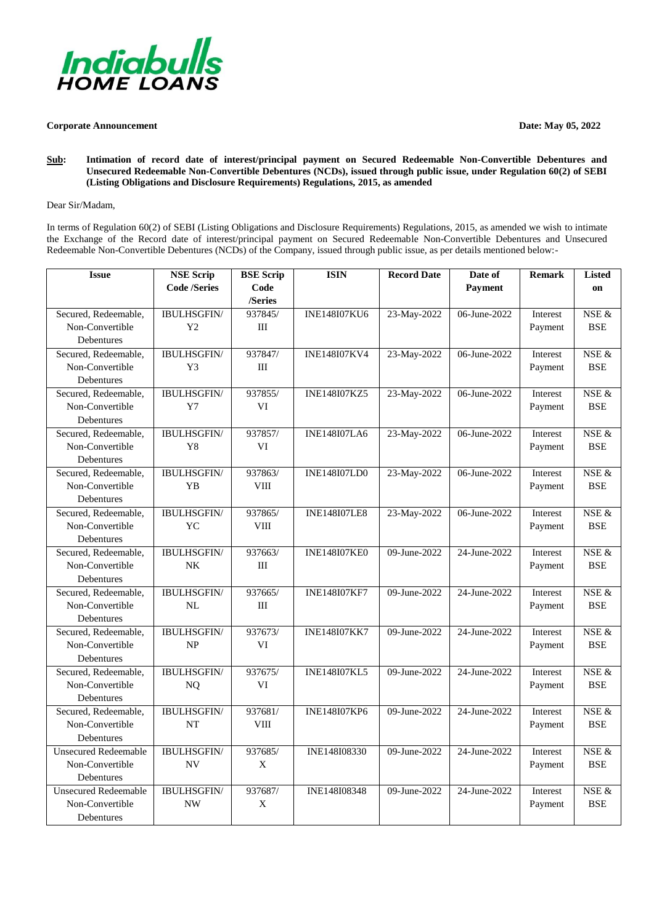

## **Corporate Announcement Date: May 05, 2022**

**Sub: Intimation of record date of interest/principal payment on Secured Redeemable Non-Convertible Debentures and Unsecured Redeemable Non-Convertible Debentures (NCDs), issued through public issue, under Regulation 60(2) of SEBI (Listing Obligations and Disclosure Requirements) Regulations, 2015, as amended**

## Dear Sir/Madam,

In terms of Regulation 60(2) of SEBI (Listing Obligations and Disclosure Requirements) Regulations, 2015, as amended we wish to intimate the Exchange of the Record date of interest/principal payment on Secured Redeemable Non-Convertible Debentures and Unsecured Redeemable Non-Convertible Debentures (NCDs) of the Company, issued through public issue, as per details mentioned below:-

| <b>Issue</b>                | <b>NSE Scrip</b>    | <b>BSE Scrip</b> | <b>ISIN</b>         | <b>Record Date</b> | Date of        | <b>Remark</b>   | <b>Listed</b> |
|-----------------------------|---------------------|------------------|---------------------|--------------------|----------------|-----------------|---------------|
|                             | <b>Code /Series</b> | Code             |                     |                    | <b>Payment</b> |                 | on            |
|                             |                     | /Series          |                     |                    |                |                 |               |
| Secured, Redeemable,        | <b>IBULHSGFIN/</b>  | 937845/          | <b>INE148I07KU6</b> | 23-May-2022        | 06-June-2022   | Interest        | NSE &         |
| Non-Convertible             | Y <sub>2</sub>      | III              |                     |                    |                | Payment         | <b>BSE</b>    |
| Debentures                  |                     |                  |                     |                    |                |                 |               |
| Secured, Redeemable,        | <b>IBULHSGFIN/</b>  | 937847/          | <b>INE148I07KV4</b> | 23-May-2022        | 06-June-2022   | Interest        | NSE $\&$      |
| Non-Convertible             | Y3                  | III              |                     |                    |                | Payment         | <b>BSE</b>    |
| Debentures                  |                     |                  |                     |                    |                |                 |               |
| Secured, Redeemable,        | <b>IBULHSGFIN/</b>  | 937855/          | <b>INE148I07KZ5</b> | 23-May-2022        | 06-June-2022   | Interest        | NSE &         |
| Non-Convertible             | $Y$ 7               | VI               |                     |                    |                | Payment         | <b>BSE</b>    |
| Debentures                  |                     |                  |                     |                    |                |                 |               |
| Secured, Redeemable,        | <b>IBULHSGFIN/</b>  | 937857/          | <b>INE148I07LA6</b> | 23-May-2022        | 06-June-2022   | <b>Interest</b> | NSE &         |
| Non-Convertible             | Y8                  | VI               |                     |                    |                | Payment         | <b>BSE</b>    |
| Debentures                  |                     |                  |                     |                    |                |                 |               |
| Secured, Redeemable,        | <b>IBULHSGFIN/</b>  | 937863/          | <b>INE148I07LD0</b> | 23-May-2022        | 06-June-2022   | Interest        | NSE &         |
| Non-Convertible             | <b>YB</b>           | <b>VIII</b>      |                     |                    |                | Payment         | <b>BSE</b>    |
| Debentures                  |                     |                  |                     |                    |                |                 |               |
| Secured, Redeemable,        | <b>IBULHSGFIN/</b>  | 937865/          | <b>INE148I07LE8</b> | 23-May-2022        | 06-June-2022   | Interest        | NSE &         |
| Non-Convertible             | <b>YC</b>           | <b>VIII</b>      |                     |                    |                | Payment         | <b>BSE</b>    |
| Debentures                  |                     |                  |                     |                    |                |                 |               |
| Secured, Redeemable,        | <b>IBULHSGFIN/</b>  | 937663/          | <b>INE148I07KE0</b> | 09-June-2022       | 24-June-2022   | Interest        | NSE &         |
| Non-Convertible             | NK                  | Ш                |                     |                    |                | Payment         | <b>BSE</b>    |
| Debentures                  |                     |                  |                     |                    |                |                 |               |
| Secured, Redeemable,        | <b>IBULHSGFIN/</b>  | 937665/          | <b>INE148I07KF7</b> | 09-June-2022       | 24-June-2022   | Interest        | NSE &         |
| Non-Convertible             | NL                  | III              |                     |                    |                | Payment         | <b>BSE</b>    |
| Debentures                  |                     |                  |                     |                    |                |                 |               |
| Secured, Redeemable,        | <b>IBULHSGFIN/</b>  | 937673/          | <b>INE148I07KK7</b> | 09-June-2022       | 24-June-2022   | Interest        | NSE &         |
| Non-Convertible             | NP                  | VI               |                     |                    |                | Payment         | <b>BSE</b>    |
| Debentures                  |                     |                  |                     |                    |                |                 |               |
| Secured, Redeemable,        | <b>IBULHSGFIN/</b>  | 937675/          | <b>INE148I07KL5</b> | 09-June-2022       | 24-June-2022   | Interest        | NSE &         |
| Non-Convertible             | NQ                  | VI               |                     |                    |                | Payment         | <b>BSE</b>    |
| Debentures                  |                     |                  |                     |                    |                |                 |               |
| Secured, Redeemable,        | <b>IBULHSGFIN/</b>  | 937681/          | <b>INE148I07KP6</b> | $09$ -June-2022    | 24-June-2022   | Interest        | $NSE$ &       |
| Non-Convertible             | <b>NT</b>           | VIII             |                     |                    |                | Payment         | <b>BSE</b>    |
| Debentures                  |                     |                  |                     |                    |                |                 |               |
| <b>Unsecured Redeemable</b> | <b>IBULHSGFIN/</b>  | 937685/          | INE148I08330        | 09-June-2022       | 24-June-2022   | <b>Interest</b> | $NSE$ &       |
| Non-Convertible             | <b>NV</b>           | X                |                     |                    |                | Payment         | <b>BSE</b>    |
| Debentures                  |                     |                  |                     |                    |                |                 |               |
| <b>Unsecured Redeemable</b> | <b>IBULHSGFIN/</b>  | 937687/          | INE148I08348        | 09-June-2022       | 24-June-2022   | Interest        | NSE &         |
| Non-Convertible             | <b>NW</b>           | X                |                     |                    |                | Payment         | <b>BSE</b>    |
| Debentures                  |                     |                  |                     |                    |                |                 |               |